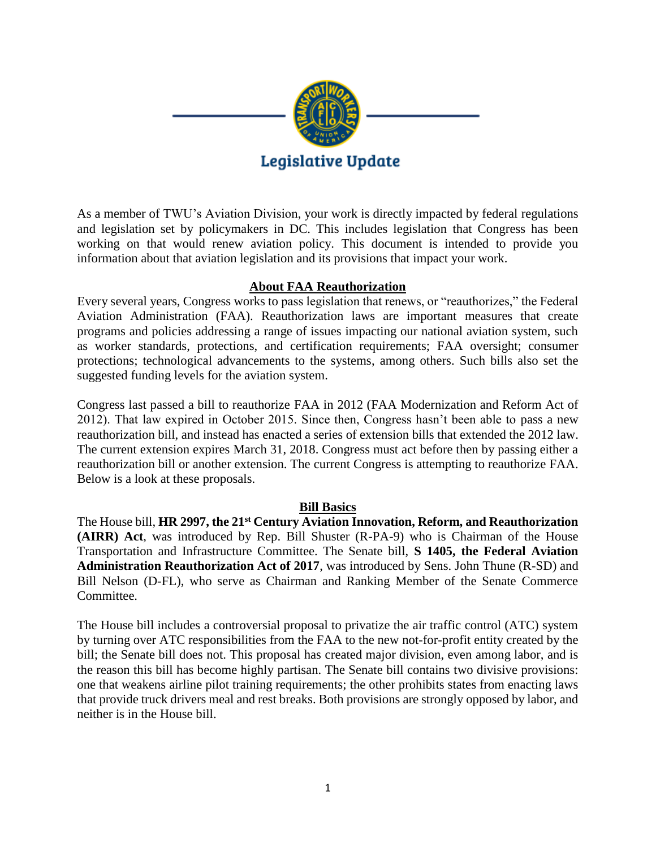

As a member of TWU's Aviation Division, your work is directly impacted by federal regulations and legislation set by policymakers in DC. This includes legislation that Congress has been working on that would renew aviation policy. This document is intended to provide you information about that aviation legislation and its provisions that impact your work.

### **About FAA Reauthorization**

Every several years, Congress works to pass legislation that renews, or "reauthorizes," the Federal Aviation Administration (FAA). Reauthorization laws are important measures that create programs and policies addressing a range of issues impacting our national aviation system, such as worker standards, protections, and certification requirements; FAA oversight; consumer protections; technological advancements to the systems, among others. Such bills also set the suggested funding levels for the aviation system.

Congress last passed a bill to reauthorize FAA in 2012 (FAA Modernization and Reform Act of 2012). That law expired in October 2015. Since then, Congress hasn't been able to pass a new reauthorization bill, and instead has enacted a series of extension bills that extended the 2012 law. The current extension expires March 31, 2018. Congress must act before then by passing either a reauthorization bill or another extension. The current Congress is attempting to reauthorize FAA. Below is a look at these proposals.

### **Bill Basics**

The House bill, **HR 2997, the 21st Century Aviation Innovation, Reform, and Reauthorization (AIRR) Act**, was introduced by Rep. Bill Shuster (R-PA-9) who is Chairman of the House Transportation and Infrastructure Committee. The Senate bill, **S 1405, the Federal Aviation Administration Reauthorization Act of 2017**, was introduced by Sens. John Thune (R-SD) and Bill Nelson (D-FL), who serve as Chairman and Ranking Member of the Senate Commerce Committee.

The House bill includes a controversial proposal to privatize the air traffic control (ATC) system by turning over ATC responsibilities from the FAA to the new not-for-profit entity created by the bill; the Senate bill does not. This proposal has created major division, even among labor, and is the reason this bill has become highly partisan. The Senate bill contains two divisive provisions: one that weakens airline pilot training requirements; the other prohibits states from enacting laws that provide truck drivers meal and rest breaks. Both provisions are strongly opposed by labor, and neither is in the House bill.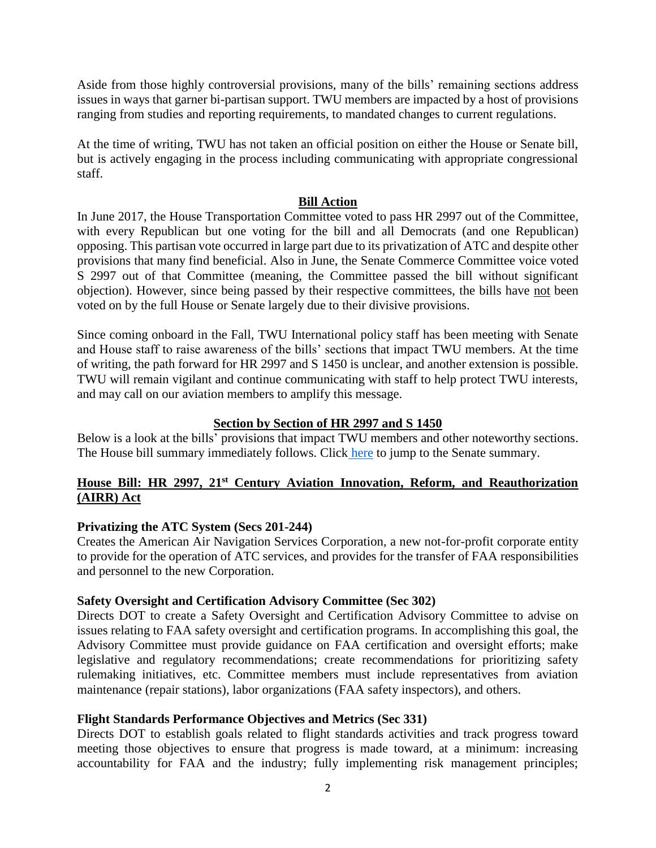Aside from those highly controversial provisions, many of the bills' remaining sections address issues in ways that garner bi-partisan support. TWU members are impacted by a host of provisions ranging from studies and reporting requirements, to mandated changes to current regulations.

At the time of writing, TWU has not taken an official position on either the House or Senate bill, but is actively engaging in the process including communicating with appropriate congressional staff.

### **Bill Action**

In June 2017, the House Transportation Committee voted to pass HR 2997 out of the Committee, with every Republican but one voting for the bill and all Democrats (and one Republican) opposing. This partisan vote occurred in large part due to its privatization of ATC and despite other provisions that many find beneficial. Also in June, the Senate Commerce Committee voice voted S 2997 out of that Committee (meaning, the Committee passed the bill without significant objection). However, since being passed by their respective committees, the bills have not been voted on by the full House or Senate largely due to their divisive provisions.

Since coming onboard in the Fall, TWU International policy staff has been meeting with Senate and House staff to raise awareness of the bills' sections that impact TWU members. At the time of writing, the path forward for HR 2997 and S 1450 is unclear, and another extension is possible. TWU will remain vigilant and continue communicating with staff to help protect TWU interests, and may call on our aviation members to amplify this message.

### **Section by Section of HR 2997 and S 1450**

Below is a look at the bills' provisions that impact TWU members and other noteworthy sections. The House bill summary immediately follows. Click [here](#page-4-0) to jump to the Senate summary.

# <span id="page-1-0"></span>**House Bill: HR 2997, 21st Century Aviation Innovation, Reform, and Reauthorization (AIRR) Act**

### **Privatizing the ATC System (Secs 201-244)**

Creates the American Air Navigation Services Corporation, a new not-for-profit corporate entity to provide for the operation of ATC services, and provides for the transfer of FAA responsibilities and personnel to the new Corporation.

### **Safety Oversight and Certification Advisory Committee (Sec 302)**

Directs DOT to create a Safety Oversight and Certification Advisory Committee to advise on issues relating to FAA safety oversight and certification programs. In accomplishing this goal, the Advisory Committee must provide guidance on FAA certification and oversight efforts; make legislative and regulatory recommendations; create recommendations for prioritizing safety rulemaking initiatives, etc. Committee members must include representatives from aviation maintenance (repair stations), labor organizations (FAA safety inspectors), and others.

### **Flight Standards Performance Objectives and Metrics (Sec 331)**

Directs DOT to establish goals related to flight standards activities and track progress toward meeting those objectives to ensure that progress is made toward, at a minimum: increasing accountability for FAA and the industry; fully implementing risk management principles;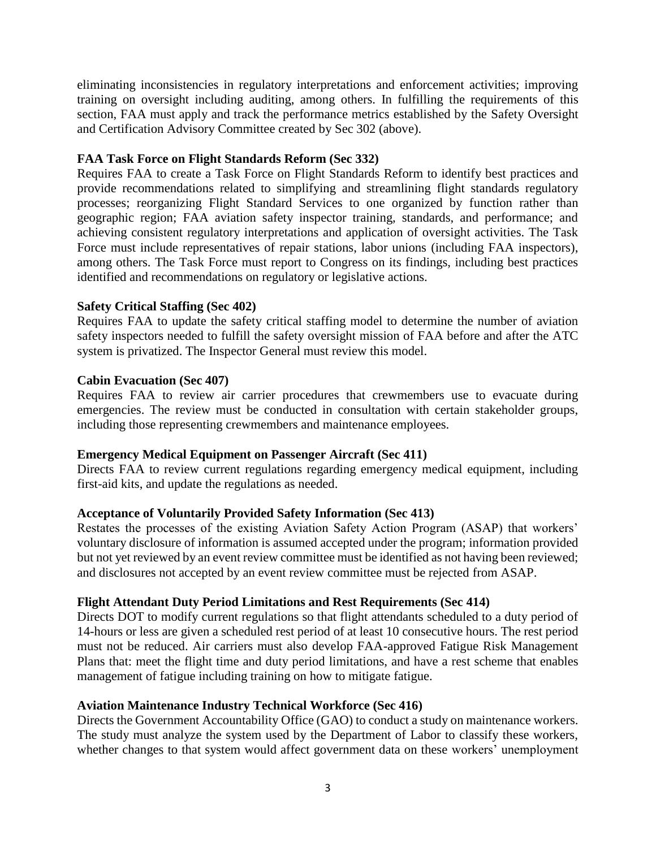eliminating inconsistencies in regulatory interpretations and enforcement activities; improving training on oversight including auditing, among others. In fulfilling the requirements of this section, FAA must apply and track the performance metrics established by the Safety Oversight and Certification Advisory Committee created by Sec 302 (above).

# **FAA Task Force on Flight Standards Reform (Sec 332)**

Requires FAA to create a Task Force on Flight Standards Reform to identify best practices and provide recommendations related to simplifying and streamlining flight standards regulatory processes; reorganizing Flight Standard Services to one organized by function rather than geographic region; FAA aviation safety inspector training, standards, and performance; and achieving consistent regulatory interpretations and application of oversight activities. The Task Force must include representatives of repair stations, labor unions (including FAA inspectors), among others. The Task Force must report to Congress on its findings, including best practices identified and recommendations on regulatory or legislative actions.

### **Safety Critical Staffing (Sec 402)**

Requires FAA to update the safety critical staffing model to determine the number of aviation safety inspectors needed to fulfill the safety oversight mission of FAA before and after the ATC system is privatized. The Inspector General must review this model.

### **Cabin Evacuation (Sec 407)**

Requires FAA to review air carrier procedures that crewmembers use to evacuate during emergencies. The review must be conducted in consultation with certain stakeholder groups, including those representing crewmembers and maintenance employees.

### **Emergency Medical Equipment on Passenger Aircraft (Sec 411)**

Directs FAA to review current regulations regarding emergency medical equipment, including first-aid kits, and update the regulations as needed.

### **Acceptance of Voluntarily Provided Safety Information (Sec 413)**

Restates the processes of the existing Aviation Safety Action Program (ASAP) that workers' voluntary disclosure of information is assumed accepted under the program; information provided but not yet reviewed by an event review committee must be identified as not having been reviewed; and disclosures not accepted by an event review committee must be rejected from ASAP.

### **Flight Attendant Duty Period Limitations and Rest Requirements (Sec 414)**

Directs DOT to modify current regulations so that flight attendants scheduled to a duty period of 14-hours or less are given a scheduled rest period of at least 10 consecutive hours. The rest period must not be reduced. Air carriers must also develop FAA-approved Fatigue Risk Management Plans that: meet the flight time and duty period limitations, and have a rest scheme that enables management of fatigue including training on how to mitigate fatigue.

### **Aviation Maintenance Industry Technical Workforce (Sec 416)**

Directs the Government Accountability Office (GAO) to conduct a study on maintenance workers. The study must analyze the system used by the Department of Labor to classify these workers, whether changes to that system would affect government data on these workers' unemployment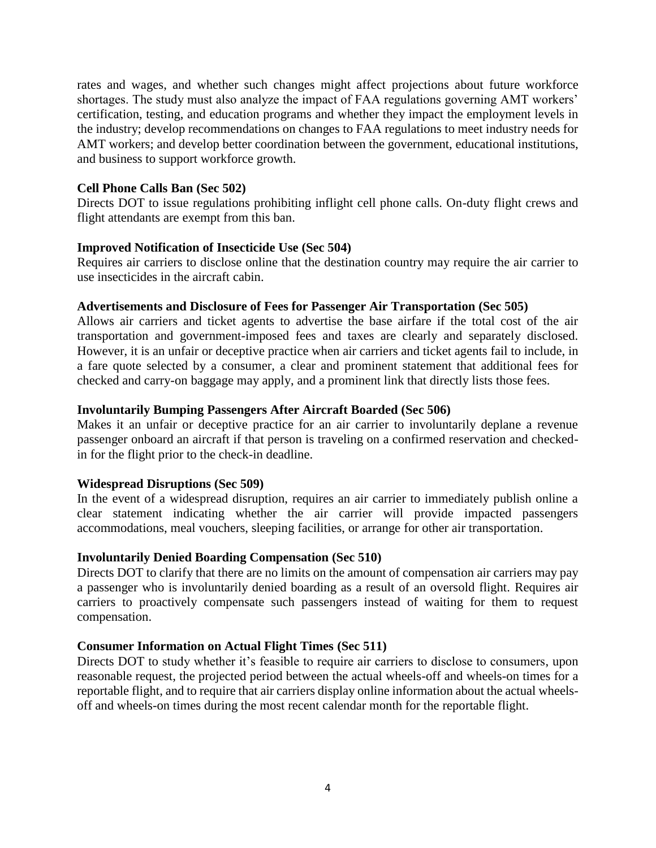rates and wages, and whether such changes might affect projections about future workforce shortages. The study must also analyze the impact of FAA regulations governing AMT workers' certification, testing, and education programs and whether they impact the employment levels in the industry; develop recommendations on changes to FAA regulations to meet industry needs for AMT workers; and develop better coordination between the government, educational institutions, and business to support workforce growth.

#### **Cell Phone Calls Ban (Sec 502)**

Directs DOT to issue regulations prohibiting inflight cell phone calls. On-duty flight crews and flight attendants are exempt from this ban.

#### **Improved Notification of Insecticide Use (Sec 504)**

Requires air carriers to disclose online that the destination country may require the air carrier to use insecticides in the aircraft cabin.

#### **Advertisements and Disclosure of Fees for Passenger Air Transportation (Sec 505)**

Allows air carriers and ticket agents to advertise the base airfare if the total cost of the air transportation and government-imposed fees and taxes are clearly and separately disclosed. However, it is an unfair or deceptive practice when air carriers and ticket agents fail to include, in a fare quote selected by a consumer, a clear and prominent statement that additional fees for checked and carry-on baggage may apply, and a prominent link that directly lists those fees.

#### **Involuntarily Bumping Passengers After Aircraft Boarded (Sec 506)**

Makes it an unfair or deceptive practice for an air carrier to involuntarily deplane a revenue passenger onboard an aircraft if that person is traveling on a confirmed reservation and checkedin for the flight prior to the check-in deadline.

### **Widespread Disruptions (Sec 509)**

In the event of a widespread disruption, requires an air carrier to immediately publish online a clear statement indicating whether the air carrier will provide impacted passengers accommodations, meal vouchers, sleeping facilities, or arrange for other air transportation.

#### **Involuntarily Denied Boarding Compensation (Sec 510)**

Directs DOT to clarify that there are no limits on the amount of compensation air carriers may pay a passenger who is involuntarily denied boarding as a result of an oversold flight. Requires air carriers to proactively compensate such passengers instead of waiting for them to request compensation.

#### **Consumer Information on Actual Flight Times (Sec 511)**

Directs DOT to study whether it's feasible to require air carriers to disclose to consumers, upon reasonable request, the projected period between the actual wheels-off and wheels-on times for a reportable flight, and to require that air carriers display online information about the actual wheelsoff and wheels-on times during the most recent calendar month for the reportable flight.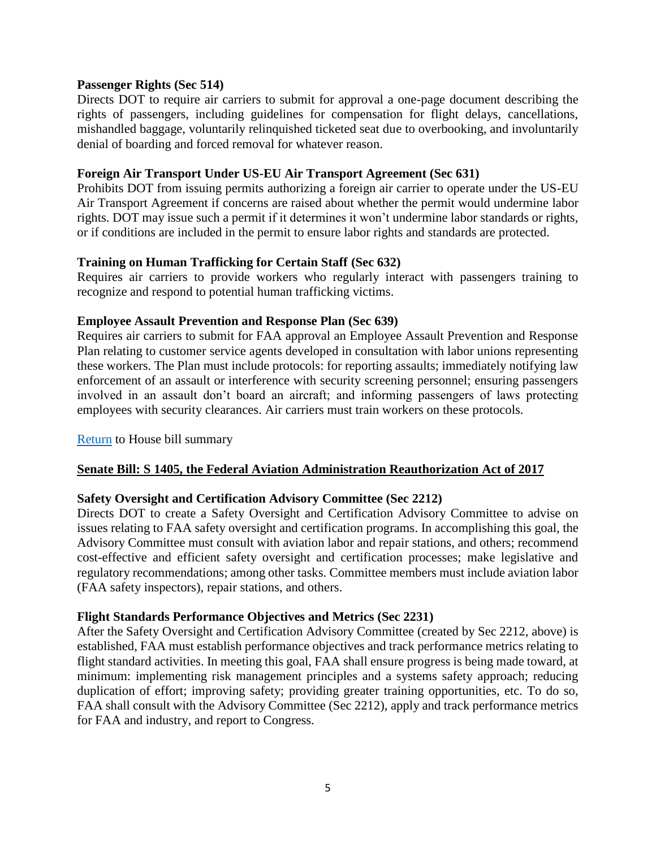### **Passenger Rights (Sec 514)**

Directs DOT to require air carriers to submit for approval a one-page document describing the rights of passengers, including guidelines for compensation for flight delays, cancellations, mishandled baggage, voluntarily relinquished ticketed seat due to overbooking, and involuntarily denial of boarding and forced removal for whatever reason.

### **Foreign Air Transport Under US-EU Air Transport Agreement (Sec 631)**

Prohibits DOT from issuing permits authorizing a foreign air carrier to operate under the US-EU Air Transport Agreement if concerns are raised about whether the permit would undermine labor rights. DOT may issue such a permit if it determines it won't undermine labor standards or rights, or if conditions are included in the permit to ensure labor rights and standards are protected.

# **Training on Human Trafficking for Certain Staff (Sec 632)**

Requires air carriers to provide workers who regularly interact with passengers training to recognize and respond to potential human trafficking victims.

### **Employee Assault Prevention and Response Plan (Sec 639)**

Requires air carriers to submit for FAA approval an Employee Assault Prevention and Response Plan relating to customer service agents developed in consultation with labor unions representing these workers. The Plan must include protocols: for reporting assaults; immediately notifying law enforcement of an assault or interference with security screening personnel; ensuring passengers involved in an assault don't board an aircraft; and informing passengers of laws protecting employees with security clearances. Air carriers must train workers on these protocols.

### [Return](#page-1-0) to House bill summary

# <span id="page-4-0"></span>**Senate Bill: S 1405, the Federal Aviation Administration Reauthorization Act of 2017**

### **Safety Oversight and Certification Advisory Committee (Sec 2212)**

Directs DOT to create a Safety Oversight and Certification Advisory Committee to advise on issues relating to FAA safety oversight and certification programs. In accomplishing this goal, the Advisory Committee must consult with aviation labor and repair stations, and others; recommend cost-effective and efficient safety oversight and certification processes; make legislative and regulatory recommendations; among other tasks. Committee members must include aviation labor (FAA safety inspectors), repair stations, and others.

### **Flight Standards Performance Objectives and Metrics (Sec 2231)**

After the Safety Oversight and Certification Advisory Committee (created by Sec 2212, above) is established, FAA must establish performance objectives and track performance metrics relating to flight standard activities. In meeting this goal, FAA shall ensure progress is being made toward, at minimum: implementing risk management principles and a systems safety approach; reducing duplication of effort; improving safety; providing greater training opportunities, etc. To do so, FAA shall consult with the Advisory Committee (Sec 2212), apply and track performance metrics for FAA and industry, and report to Congress.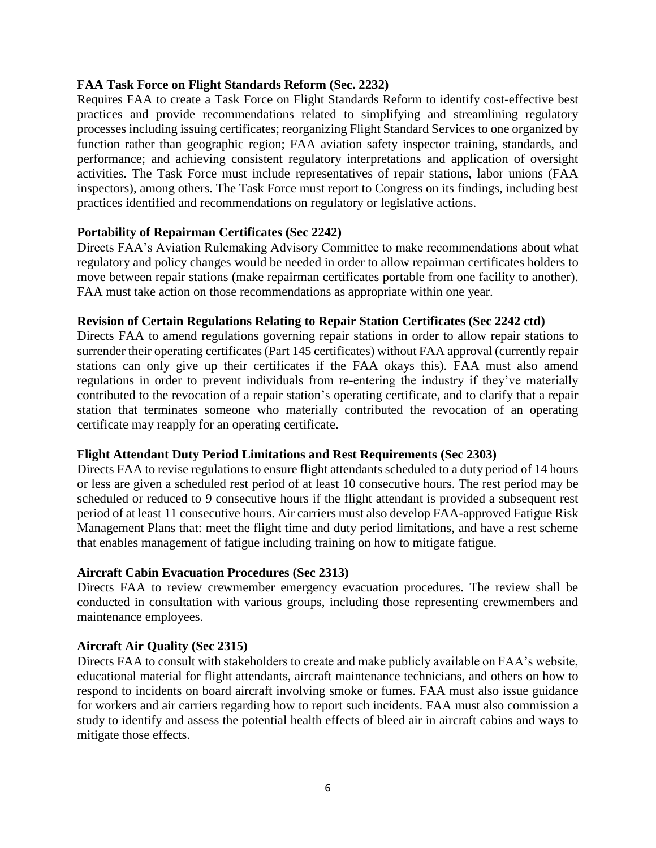### **FAA Task Force on Flight Standards Reform (Sec. 2232)**

Requires FAA to create a Task Force on Flight Standards Reform to identify cost-effective best practices and provide recommendations related to simplifying and streamlining regulatory processes including issuing certificates; reorganizing Flight Standard Services to one organized by function rather than geographic region; FAA aviation safety inspector training, standards, and performance; and achieving consistent regulatory interpretations and application of oversight activities. The Task Force must include representatives of repair stations, labor unions (FAA inspectors), among others. The Task Force must report to Congress on its findings, including best practices identified and recommendations on regulatory or legislative actions.

#### **Portability of Repairman Certificates (Sec 2242)**

Directs FAA's Aviation Rulemaking Advisory Committee to make recommendations about what regulatory and policy changes would be needed in order to allow repairman certificates holders to move between repair stations (make repairman certificates portable from one facility to another). FAA must take action on those recommendations as appropriate within one year.

#### **Revision of Certain Regulations Relating to Repair Station Certificates (Sec 2242 ctd)**

Directs FAA to amend regulations governing repair stations in order to allow repair stations to surrender their operating certificates (Part 145 certificates) without FAA approval (currently repair stations can only give up their certificates if the FAA okays this). FAA must also amend regulations in order to prevent individuals from re-entering the industry if they've materially contributed to the revocation of a repair station's operating certificate, and to clarify that a repair station that terminates someone who materially contributed the revocation of an operating certificate may reapply for an operating certificate.

### **Flight Attendant Duty Period Limitations and Rest Requirements (Sec 2303)**

Directs FAA to revise regulations to ensure flight attendants scheduled to a duty period of 14 hours or less are given a scheduled rest period of at least 10 consecutive hours. The rest period may be scheduled or reduced to 9 consecutive hours if the flight attendant is provided a subsequent rest period of at least 11 consecutive hours. Air carriers must also develop FAA-approved Fatigue Risk Management Plans that: meet the flight time and duty period limitations, and have a rest scheme that enables management of fatigue including training on how to mitigate fatigue.

### **Aircraft Cabin Evacuation Procedures (Sec 2313)**

Directs FAA to review crewmember emergency evacuation procedures. The review shall be conducted in consultation with various groups, including those representing crewmembers and maintenance employees.

### **Aircraft Air Quality (Sec 2315)**

Directs FAA to consult with stakeholders to create and make publicly available on FAA's website, educational material for flight attendants, aircraft maintenance technicians, and others on how to respond to incidents on board aircraft involving smoke or fumes. FAA must also issue guidance for workers and air carriers regarding how to report such incidents. FAA must also commission a study to identify and assess the potential health effects of bleed air in aircraft cabins and ways to mitigate those effects.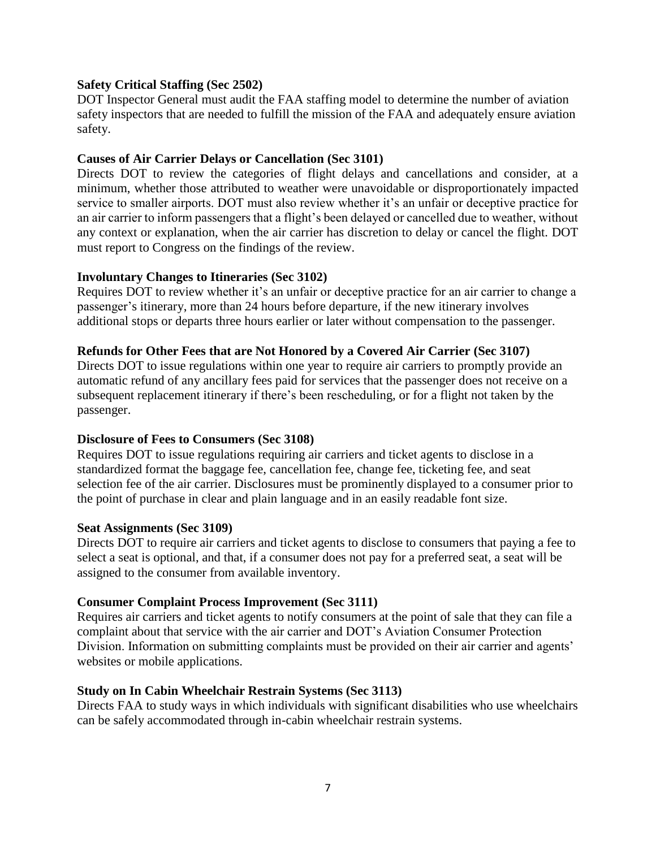### **Safety Critical Staffing (Sec 2502)**

DOT Inspector General must audit the FAA staffing model to determine the number of aviation safety inspectors that are needed to fulfill the mission of the FAA and adequately ensure aviation safety.

# **Causes of Air Carrier Delays or Cancellation (Sec 3101)**

Directs DOT to review the categories of flight delays and cancellations and consider, at a minimum, whether those attributed to weather were unavoidable or disproportionately impacted service to smaller airports. DOT must also review whether it's an unfair or deceptive practice for an air carrier to inform passengers that a flight's been delayed or cancelled due to weather, without any context or explanation, when the air carrier has discretion to delay or cancel the flight. DOT must report to Congress on the findings of the review.

# **Involuntary Changes to Itineraries (Sec 3102)**

Requires DOT to review whether it's an unfair or deceptive practice for an air carrier to change a passenger's itinerary, more than 24 hours before departure, if the new itinerary involves additional stops or departs three hours earlier or later without compensation to the passenger.

# **Refunds for Other Fees that are Not Honored by a Covered Air Carrier (Sec 3107)**

Directs DOT to issue regulations within one year to require air carriers to promptly provide an automatic refund of any ancillary fees paid for services that the passenger does not receive on a subsequent replacement itinerary if there's been rescheduling, or for a flight not taken by the passenger.

### **Disclosure of Fees to Consumers (Sec 3108)**

Requires DOT to issue regulations requiring air carriers and ticket agents to disclose in a standardized format the baggage fee, cancellation fee, change fee, ticketing fee, and seat selection fee of the air carrier. Disclosures must be prominently displayed to a consumer prior to the point of purchase in clear and plain language and in an easily readable font size.

### **Seat Assignments (Sec 3109)**

Directs DOT to require air carriers and ticket agents to disclose to consumers that paying a fee to select a seat is optional, and that, if a consumer does not pay for a preferred seat, a seat will be assigned to the consumer from available inventory.

### **Consumer Complaint Process Improvement (Sec 3111)**

Requires air carriers and ticket agents to notify consumers at the point of sale that they can file a complaint about that service with the air carrier and DOT's Aviation Consumer Protection Division. Information on submitting complaints must be provided on their air carrier and agents' websites or mobile applications.

### **Study on In Cabin Wheelchair Restrain Systems (Sec 3113)**

Directs FAA to study ways in which individuals with significant disabilities who use wheelchairs can be safely accommodated through in-cabin wheelchair restrain systems.